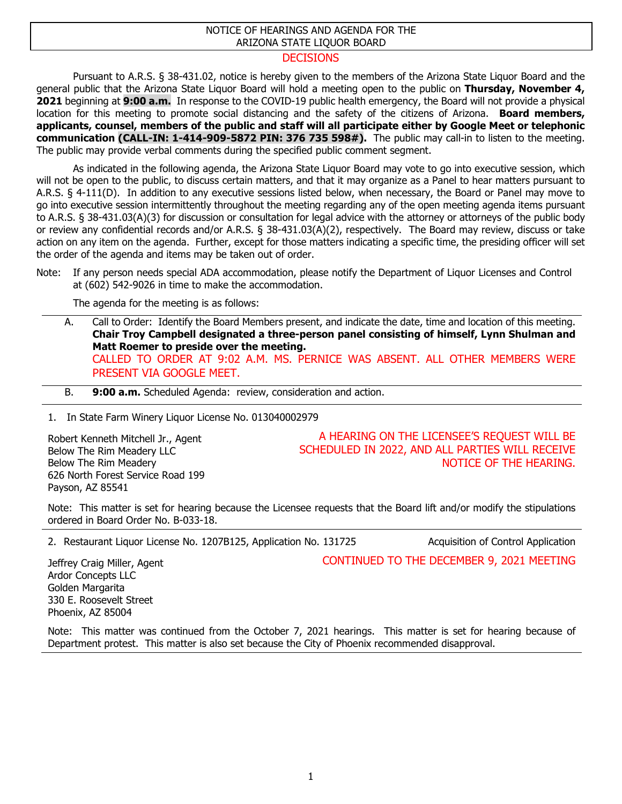## NOTICE OF HEARINGS AND AGENDA FOR THE ARIZONA STATE LIQUOR BOARD

## **DECISIONS**

Pursuant to A.R.S. § 38-431.02, notice is hereby given to the members of the Arizona State Liquor Board and the general public that the Arizona State Liquor Board will hold a meeting open to the public on **Thursday, November 4, 2021** beginning at **9:00 a.m.** In response to the COVID-19 public health emergency, the Board will not provide a physical location for this meeting to promote social distancing and the safety of the citizens of Arizona. **Board members, applicants, counsel, members of the public and staff will all participate either by Google Meet or telephonic communication (CALL-IN: 1-414-909-5872 PIN: 376 735 598#).** The public may call-in to listen to the meeting. The public may provide verbal comments during the specified public comment segment.

As indicated in the following agenda, the Arizona State Liquor Board may vote to go into executive session, which will not be open to the public, to discuss certain matters, and that it may organize as a Panel to hear matters pursuant to A.R.S. § 4-111(D). In addition to any executive sessions listed below, when necessary, the Board or Panel may move to go into executive session intermittently throughout the meeting regarding any of the open meeting agenda items pursuant to A.R.S. § 38-431.03(A)(3) for discussion or consultation for legal advice with the attorney or attorneys of the public body or review any confidential records and/or A.R.S. § 38-431.03(A)(2), respectively. The Board may review, discuss or take action on any item on the agenda. Further, except for those matters indicating a specific time, the presiding officer will set the order of the agenda and items may be taken out of order.

Note: If any person needs special ADA accommodation, please notify the Department of Liquor Licenses and Control at (602) 542-9026 in time to make the accommodation.

The agenda for the meeting is as follows:

- A. Call to Order: Identify the Board Members present, and indicate the date, time and location of this meeting. **Chair Troy Campbell designated a three-person panel consisting of himself, Lynn Shulman and Matt Roemer to preside over the meeting.** CALLED TO ORDER AT 9:02 A.M. MS. PERNICE WAS ABSENT. ALL OTHER MEMBERS WERE PRESENT VIA GOOGLE MEET.
- B. **9:00 a.m.** Scheduled Agenda: review, consideration and action.

1. In State Farm Winery Liquor License No. 013040002979

Robert Kenneth Mitchell Jr., Agent Below The Rim Meadery LLC Below The Rim Meadery 626 North Forest Service Road 199 Payson, AZ 85541

A HEARING ON THE LICENSEE'S REQUEST WILL BE SCHEDULED IN 2022, AND ALL PARTIES WILL RECEIVE NOTICE OF THE HEARING.

Note: This matter is set for hearing because the Licensee requests that the Board lift and/or modify the stipulations ordered in Board Order No. B-033-18.

2. Restaurant Liquor License No. 1207B125, Application No. 131725 Acquisition of Control Application

CONTINUED TO THE DECEMBER 9, 2021 MEETING

Jeffrey Craig Miller, Agent Ardor Concepts LLC Golden Margarita 330 E. Roosevelt Street Phoenix, AZ 85004

Note: This matter was continued from the October 7, 2021 hearings. This matter is set for hearing because of Department protest. This matter is also set because the City of Phoenix recommended disapproval.